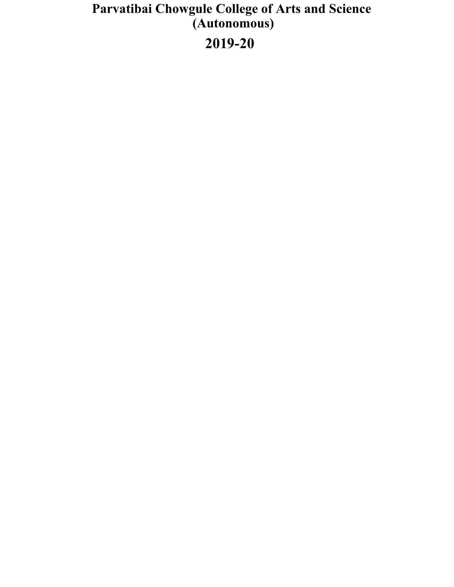## **Parvatibai Chowgule College of Arts and Science**<br>(Autonomous) 2019-20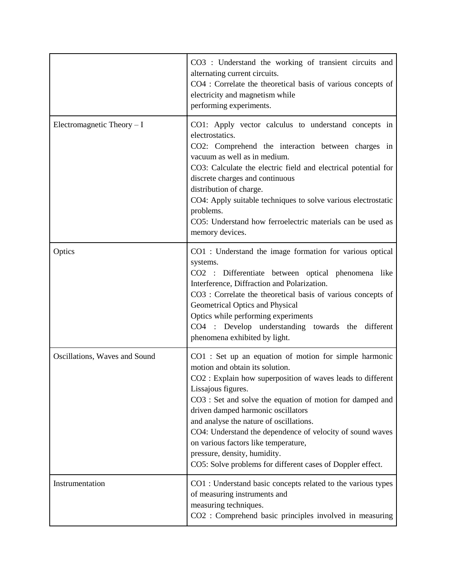|                               | CO3 : Understand the working of transient circuits and<br>alternating current circuits.<br>CO4 : Correlate the theoretical basis of various concepts of<br>electricity and magnetism while<br>performing experiments.                                                                                                                                                                                                                                                                                                           |
|-------------------------------|---------------------------------------------------------------------------------------------------------------------------------------------------------------------------------------------------------------------------------------------------------------------------------------------------------------------------------------------------------------------------------------------------------------------------------------------------------------------------------------------------------------------------------|
| Electromagnetic Theory $- I$  | CO1: Apply vector calculus to understand concepts in<br>electrostatics.<br>CO2: Comprehend the interaction between charges in<br>vacuum as well as in medium.<br>CO3: Calculate the electric field and electrical potential for<br>discrete charges and continuous<br>distribution of charge.<br>CO4: Apply suitable techniques to solve various electrostatic<br>problems.<br>CO5: Understand how ferroelectric materials can be used as<br>memory devices.                                                                    |
| Optics                        | CO1 : Understand the image formation for various optical<br>systems.<br>CO2 : Differentiate between optical phenomena like<br>Interference, Diffraction and Polarization.<br>CO3 : Correlate the theoretical basis of various concepts of<br>Geometrical Optics and Physical<br>Optics while performing experiments<br>CO4 : Develop understanding towards the different<br>phenomena exhibited by light.                                                                                                                       |
| Oscillations, Waves and Sound | CO1 : Set up an equation of motion for simple harmonic<br>motion and obtain its solution.<br>CO2 : Explain how superposition of waves leads to different<br>Lissajous figures.<br>CO3 : Set and solve the equation of motion for damped and<br>driven damped harmonic oscillators<br>and analyse the nature of oscillations.<br>CO4: Understand the dependence of velocity of sound waves<br>on various factors like temperature,<br>pressure, density, humidity.<br>CO5: Solve problems for different cases of Doppler effect. |
| Instrumentation               | CO1 : Understand basic concepts related to the various types<br>of measuring instruments and<br>measuring techniques.<br>CO2 : Comprehend basic principles involved in measuring                                                                                                                                                                                                                                                                                                                                                |